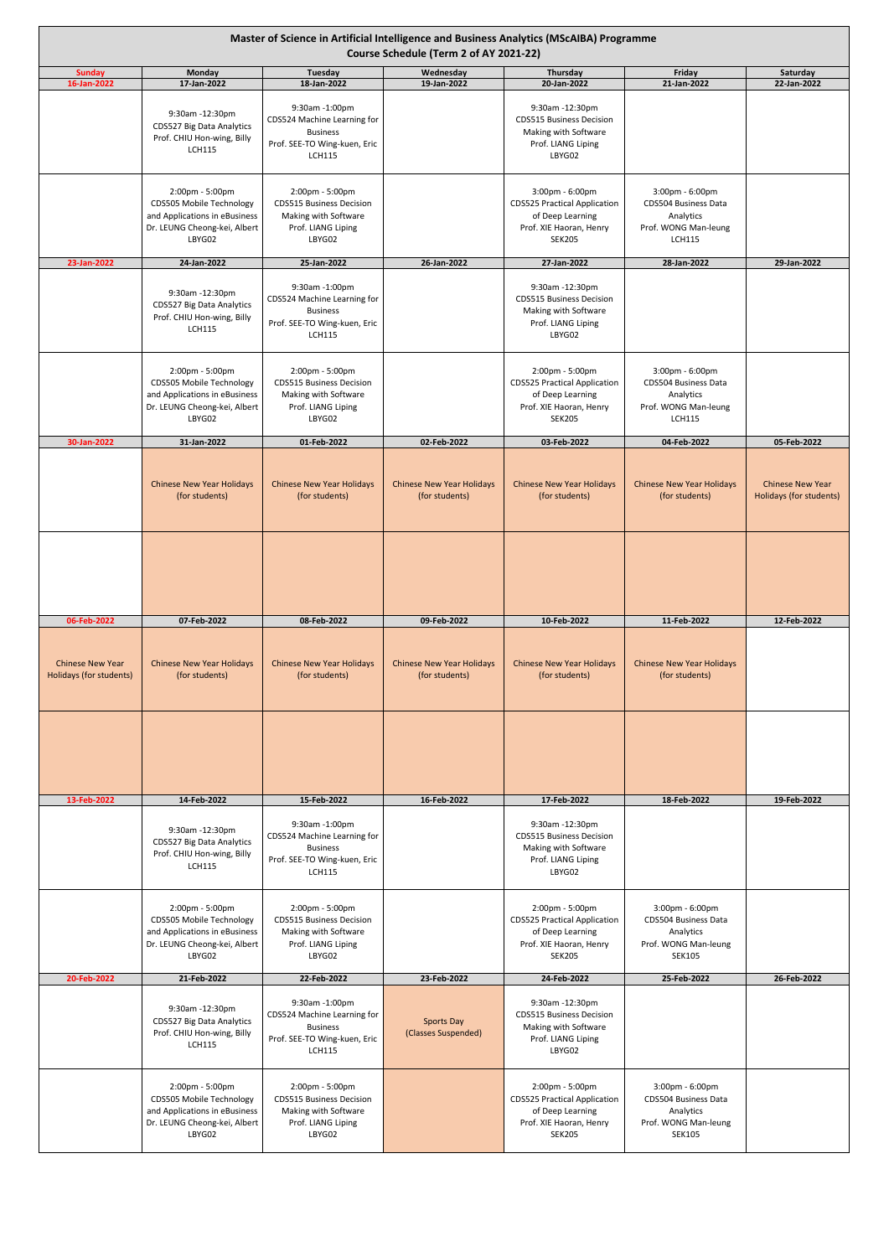| Master of Science in Artificial Intelligence and Business Analytics (MScAIBA) Programme<br>Course Schedule (Term 2 of AY 2021-22) |                                                                                                                        |                                                                                                                   |                                                    |                                                                                                                        |                                                                                                                 |                                                    |  |
|-----------------------------------------------------------------------------------------------------------------------------------|------------------------------------------------------------------------------------------------------------------------|-------------------------------------------------------------------------------------------------------------------|----------------------------------------------------|------------------------------------------------------------------------------------------------------------------------|-----------------------------------------------------------------------------------------------------------------|----------------------------------------------------|--|
| <b>Sunday</b><br>16-Jan-2022                                                                                                      | Monday<br>17-Jan-2022                                                                                                  | Tuesday<br>18-Jan-2022                                                                                            | Wednesday<br>19-Jan-2022                           | Thursday<br>20-Jan-2022                                                                                                | Friday<br>21-Jan-2022                                                                                           | Saturday<br>22-Jan-2022                            |  |
|                                                                                                                                   | 9:30am -12:30pm<br>CDS527 Big Data Analytics<br>Prof. CHIU Hon-wing, Billy<br><b>LCH115</b>                            | 9:30am -1:00pm<br>CDS524 Machine Learning for<br><b>Business</b><br>Prof. SEE-TO Wing-kuen, Eric<br><b>LCH115</b> |                                                    | 9:30am -12:30pm<br><b>CDS515 Business Decision</b><br>Making with Software<br>Prof. LIANG Liping<br>LBYG02             |                                                                                                                 |                                                    |  |
|                                                                                                                                   | 2:00pm - 5:00pm<br>CDS505 Mobile Technology<br>and Applications in eBusiness<br>Dr. LEUNG Cheong-kei, Albert<br>LBYG02 | 2:00pm - 5:00pm<br><b>CDS515 Business Decision</b><br>Making with Software<br>Prof. LIANG Liping<br>LBYG02        |                                                    | 3:00pm - 6:00pm<br><b>CDS525 Practical Application</b><br>of Deep Learning<br>Prof. XIE Haoran, Henry<br><b>SEK205</b> | 3:00pm - 6:00pm<br>CDS504 Business Data<br>Analytics<br>Prof. WONG Man-leung<br><b>LCH115</b>                   |                                                    |  |
| 23-Jan-2022                                                                                                                       | 24-Jan-2022                                                                                                            | 25-Jan-2022                                                                                                       | 26-Jan-2022                                        | 27-Jan-2022                                                                                                            | 28-Jan-2022                                                                                                     | 29-Jan-2022                                        |  |
|                                                                                                                                   | 9:30am -12:30pm<br>CDS527 Big Data Analytics<br>Prof. CHIU Hon-wing, Billy<br><b>LCH115</b>                            | 9:30am -1:00pm<br>CDS524 Machine Learning for<br><b>Business</b><br>Prof. SEE-TO Wing-kuen, Eric<br><b>LCH115</b> |                                                    | 9:30am -12:30pm<br><b>CDS515 Business Decision</b><br>Making with Software<br>Prof. LIANG Liping<br>LBYG02             |                                                                                                                 |                                                    |  |
|                                                                                                                                   | 2:00pm - 5:00pm<br>CDS505 Mobile Technology<br>and Applications in eBusiness<br>Dr. LEUNG Cheong-kei, Albert<br>LBYG02 | 2:00pm - 5:00pm<br><b>CDS515 Business Decision</b><br>Making with Software<br>Prof. LIANG Liping<br>LBYG02        |                                                    | 2:00pm - 5:00pm<br><b>CDS525 Practical Application</b><br>of Deep Learning<br>Prof. XIE Haoran, Henry<br><b>SEK205</b> | $3:00 \text{pm} - 6:00 \text{pm}$<br>CDS504 Business Data<br>Analytics<br>Prof. WONG Man-leung<br><b>LCH115</b> |                                                    |  |
| 30-Jan-2022                                                                                                                       | 31-Jan-2022                                                                                                            | 01-Feb-2022                                                                                                       | 02-Feb-2022                                        | 03-Feb-2022                                                                                                            | 04-Feb-2022                                                                                                     | 05-Feb-2022                                        |  |
|                                                                                                                                   | Chinese New Year Holidays<br>(for students)                                                                            | <b>Chinese New Year Holidays</b><br>(for students)                                                                | <b>Chinese New Year Holidays</b><br>(for students) | <b>Chinese New Year Holidays</b><br>(for students)                                                                     | <b>Chinese New Year Holidays</b><br>(for students)                                                              | <b>Chinese New Year</b><br>Holidays (for students) |  |
|                                                                                                                                   |                                                                                                                        |                                                                                                                   |                                                    |                                                                                                                        |                                                                                                                 |                                                    |  |
| 06-Feb-2022                                                                                                                       | 07-Feb-2022                                                                                                            | 08-Feb-2022                                                                                                       | 09-Feb-2022                                        | 10-Feb-2022                                                                                                            | 11-Feb-2022                                                                                                     | 12-Feb-2022                                        |  |
| <b>Chinese New Year</b><br>Holidays (for students)                                                                                | <b>Chinese New Year Holidays</b><br>(for students)                                                                     | <b>Chinese New Year Holidays</b><br>(for students)                                                                | <b>Chinese New Year Holidays</b><br>(for students) | <b>Chinese New Year Holidays</b><br>(for students)                                                                     | <b>Chinese New Year Holidays</b><br>(for students)                                                              |                                                    |  |
|                                                                                                                                   |                                                                                                                        |                                                                                                                   |                                                    |                                                                                                                        |                                                                                                                 |                                                    |  |
| 13-Feb-2022                                                                                                                       | 14-Feb-2022                                                                                                            | 15-Feb-2022                                                                                                       | 16-Feb-2022                                        | 17-Feb-2022                                                                                                            | 18-Feb-2022                                                                                                     | 19-Feb-2022                                        |  |
|                                                                                                                                   | 9:30am -12:30pm<br>CDS527 Big Data Analytics<br>Prof. CHIU Hon-wing, Billy<br><b>LCH115</b>                            | 9:30am -1:00pm<br>CDS524 Machine Learning for<br><b>Business</b><br>Prof. SEE-TO Wing-kuen, Eric<br><b>LCH115</b> |                                                    | 9:30am -12:30pm<br><b>CDS515 Business Decision</b><br>Making with Software<br>Prof. LIANG Liping<br>LBYG02             |                                                                                                                 |                                                    |  |
|                                                                                                                                   | 2:00pm - 5:00pm<br>CDS505 Mobile Technology<br>and Applications in eBusiness<br>Dr. LEUNG Cheong-kei, Albert<br>LBYG02 | 2:00pm - 5:00pm<br><b>CDS515 Business Decision</b><br>Making with Software<br>Prof. LIANG Liping<br>LBYG02        |                                                    | 2:00pm - 5:00pm<br><b>CDS525 Practical Application</b><br>of Deep Learning<br>Prof. XIE Haoran, Henry<br><b>SEK205</b> | 3:00pm - 6:00pm<br>CDS504 Business Data<br>Analytics<br>Prof. WONG Man-leung<br><b>SEK105</b>                   |                                                    |  |
| 20-Feb-2022                                                                                                                       | 21-Feb-2022                                                                                                            | 22-Feb-2022                                                                                                       | 23-Feb-2022                                        | 24-Feb-2022                                                                                                            | 25-Feb-2022                                                                                                     | 26-Feb-2022                                        |  |
|                                                                                                                                   | 9:30am -12:30pm<br>CDS527 Big Data Analytics<br>Prof. CHIU Hon-wing, Billy<br><b>LCH115</b>                            | 9:30am -1:00pm<br>CDS524 Machine Learning for<br><b>Business</b><br>Prof. SEE-TO Wing-kuen, Eric<br><b>LCH115</b> | <b>Sports Day</b><br>(Classes Suspended)           | 9:30am -12:30pm<br><b>CDS515 Business Decision</b><br>Making with Software<br>Prof. LIANG Liping<br>LBYG02             |                                                                                                                 |                                                    |  |
|                                                                                                                                   | 2:00pm - 5:00pm<br>CDS505 Mobile Technology<br>and Applications in eBusiness<br>Dr. LEUNG Cheong-kei, Albert<br>LBYG02 | 2:00pm - 5:00pm<br><b>CDS515 Business Decision</b><br>Making with Software<br>Prof. LIANG Liping<br>LBYG02        |                                                    | 2:00pm - 5:00pm<br><b>CDS525 Practical Application</b><br>of Deep Learning<br>Prof. XIE Haoran, Henry<br><b>SEK205</b> | 3:00pm - 6:00pm<br>CDS504 Business Data<br>Analytics<br>Prof. WONG Man-leung<br><b>SEK105</b>                   |                                                    |  |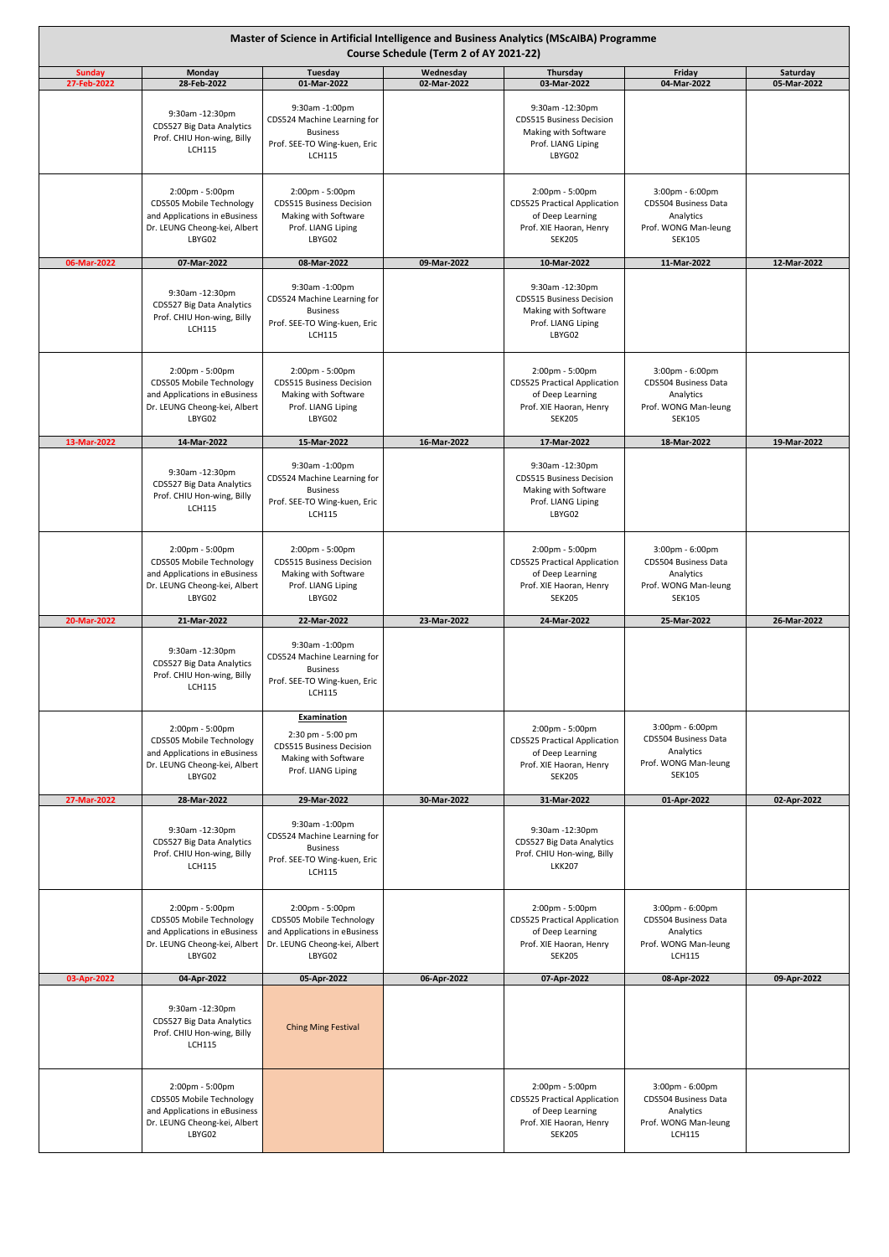| Master of Science in Artificial Intelligence and Business Analytics (MScAIBA) Programme<br>Course Schedule (Term 2 of AY 2021-22) |                                                                                                                        |                                                                                                                        |                          |                                                                                                                        |                                                                                               |                         |  |
|-----------------------------------------------------------------------------------------------------------------------------------|------------------------------------------------------------------------------------------------------------------------|------------------------------------------------------------------------------------------------------------------------|--------------------------|------------------------------------------------------------------------------------------------------------------------|-----------------------------------------------------------------------------------------------|-------------------------|--|
| <b>Sunday</b><br>27-Feb-2022                                                                                                      | Monday<br>28-Feb-2022                                                                                                  | Tuesday<br>01-Mar-2022                                                                                                 | Wednesday<br>02-Mar-2022 | Thursday<br>03-Mar-2022                                                                                                | Friday<br>04-Mar-2022                                                                         | Saturday<br>05-Mar-2022 |  |
|                                                                                                                                   | 9:30am -12:30pm<br>CDS527 Big Data Analytics<br>Prof. CHIU Hon-wing, Billy<br><b>LCH115</b>                            | 9:30am -1:00pm<br>CDS524 Machine Learning for<br><b>Business</b><br>Prof. SEE-TO Wing-kuen, Eric<br><b>LCH115</b>      |                          | 9:30am -12:30pm<br><b>CDS515 Business Decision</b><br>Making with Software<br>Prof. LIANG Liping<br>LBYG02             |                                                                                               |                         |  |
|                                                                                                                                   | 2:00pm - 5:00pm<br>CDS505 Mobile Technology<br>and Applications in eBusiness<br>Dr. LEUNG Cheong-kei, Albert<br>LBYG02 | 2:00pm - 5:00pm<br><b>CDS515 Business Decision</b><br>Making with Software<br>Prof. LIANG Liping<br>LBYG02             |                          | 2:00pm - 5:00pm<br><b>CDS525 Practical Application</b><br>of Deep Learning<br>Prof. XIE Haoran, Henry<br><b>SEK205</b> | 3:00pm - 6:00pm<br>CDS504 Business Data<br>Analytics<br>Prof. WONG Man-leung<br><b>SEK105</b> |                         |  |
| 06-Mar-2022                                                                                                                       | 07-Mar-2022                                                                                                            | 08-Mar-2022                                                                                                            | 09-Mar-2022              | 10-Mar-2022                                                                                                            | 11-Mar-2022                                                                                   | 12-Mar-2022             |  |
|                                                                                                                                   | 9:30am -12:30pm<br>CDS527 Big Data Analytics<br>Prof. CHIU Hon-wing, Billy<br><b>LCH115</b>                            | 9:30am -1:00pm<br>CDS524 Machine Learning for<br><b>Business</b><br>Prof. SEE-TO Wing-kuen, Eric<br><b>LCH115</b>      |                          | 9:30am -12:30pm<br><b>CDS515 Business Decision</b><br>Making with Software<br>Prof. LIANG Liping<br>LBYG02             |                                                                                               |                         |  |
|                                                                                                                                   | 2:00pm - 5:00pm<br>CDS505 Mobile Technology<br>and Applications in eBusiness<br>Dr. LEUNG Cheong-kei, Albert<br>LBYG02 | 2:00pm - 5:00pm<br><b>CDS515 Business Decision</b><br>Making with Software<br>Prof. LIANG Liping<br>LBYG02             |                          | 2:00pm - 5:00pm<br><b>CDS525 Practical Application</b><br>of Deep Learning<br>Prof. XIE Haoran, Henry<br><b>SEK205</b> | 3:00pm - 6:00pm<br>CDS504 Business Data<br>Analytics<br>Prof. WONG Man-leung<br><b>SEK105</b> |                         |  |
| 13-Mar-2022                                                                                                                       | 14-Mar-2022                                                                                                            | 15-Mar-2022                                                                                                            | 16-Mar-2022              | 17-Mar-2022                                                                                                            | 18-Mar-2022                                                                                   | 19-Mar-2022             |  |
|                                                                                                                                   | 9:30am -12:30pm<br>CDS527 Big Data Analytics<br>Prof. CHIU Hon-wing, Billy<br><b>LCH115</b>                            | 9:30am -1:00pm<br>CDS524 Machine Learning for<br><b>Business</b><br>Prof. SEE-TO Wing-kuen, Eric<br><b>LCH115</b>      |                          | 9:30am -12:30pm<br><b>CDS515 Business Decision</b><br>Making with Software<br>Prof. LIANG Liping<br>LBYG02             |                                                                                               |                         |  |
|                                                                                                                                   | 2:00pm - 5:00pm<br>CDS505 Mobile Technology<br>and Applications in eBusiness<br>Dr. LEUNG Cheong-kei, Albert<br>LBYG02 | 2:00pm - 5:00pm<br><b>CDS515 Business Decision</b><br>Making with Software<br>Prof. LIANG Liping<br>LBYG02             |                          | 2:00pm - 5:00pm<br><b>CDS525 Practical Application</b><br>of Deep Learning<br>Prof. XIE Haoran, Henry<br><b>SEK205</b> | 3:00pm - 6:00pm<br>CDS504 Business Data<br>Analytics<br>Prof. WONG Man-leung<br><b>SEK105</b> |                         |  |
| 20-Mar-2022                                                                                                                       | 21-Mar-2022                                                                                                            | 22-Mar-2022                                                                                                            | 23-Mar-2022              | 24-Mar-2022                                                                                                            | 25-Mar-2022                                                                                   | 26-Mar-2022             |  |
|                                                                                                                                   | 9:30am -12:30pm<br>CDS527 Big Data Analytics<br>Prof. CHIU Hon-wing, Billy<br><b>LCH115</b>                            | 9:30am -1:00pm<br>CDS524 Machine Learning for<br><b>Business</b><br>Prof. SEE-TO Wing-kuen, Eric<br><b>LCH115</b>      |                          |                                                                                                                        |                                                                                               |                         |  |
|                                                                                                                                   | 2:00pm - 5:00pm<br>CDS505 Mobile Technology<br>and Applications in eBusiness<br>Dr. LEUNG Cheong-kei, Albert<br>LBYG02 | Examination<br>2:30 pm - 5:00 pm<br><b>CDS515 Business Decision</b><br>Making with Software<br>Prof. LIANG Liping      |                          | 2:00pm - 5:00pm<br><b>CDS525 Practical Application</b><br>of Deep Learning<br>Prof. XIE Haoran, Henry<br><b>SEK205</b> | 3:00pm - 6:00pm<br>CDS504 Business Data<br>Analytics<br>Prof. WONG Man-leung<br><b>SEK105</b> |                         |  |
| 27-Mar-2022                                                                                                                       | 28-Mar-2022                                                                                                            | 29-Mar-2022                                                                                                            | 30-Mar-2022              | 31-Mar-2022                                                                                                            | 01-Apr-2022                                                                                   | 02-Apr-2022             |  |
|                                                                                                                                   | 9:30am -12:30pm<br>CDS527 Big Data Analytics<br>Prof. CHIU Hon-wing, Billy<br><b>LCH115</b>                            | 9:30am -1:00pm<br>CDS524 Machine Learning for<br><b>Business</b><br>Prof. SEE-TO Wing-kuen, Eric<br><b>LCH115</b>      |                          | 9:30am -12:30pm<br>CDS527 Big Data Analytics<br>Prof. CHIU Hon-wing, Billy<br><b>LKK207</b>                            |                                                                                               |                         |  |
|                                                                                                                                   | 2:00pm - 5:00pm<br>CDS505 Mobile Technology<br>and Applications in eBusiness<br>Dr. LEUNG Cheong-kei, Albert<br>LBYG02 | 2:00pm - 5:00pm<br>CDS505 Mobile Technology<br>and Applications in eBusiness<br>Dr. LEUNG Cheong-kei, Albert<br>LBYG02 |                          | 2:00pm - 5:00pm<br><b>CDS525 Practical Application</b><br>of Deep Learning<br>Prof. XIE Haoran, Henry<br><b>SEK205</b> | 3:00pm - 6:00pm<br>CDS504 Business Data<br>Analytics<br>Prof. WONG Man-leung<br><b>LCH115</b> |                         |  |
| 03-Apr-2022                                                                                                                       | 04-Apr-2022                                                                                                            | 05-Apr-2022                                                                                                            | 06-Apr-2022              | 07-Apr-2022                                                                                                            | 08-Apr-2022                                                                                   | 09-Apr-2022             |  |
|                                                                                                                                   | 9:30am -12:30pm<br>CDS527 Big Data Analytics<br>Prof. CHIU Hon-wing, Billy<br><b>LCH115</b>                            | <b>Ching Ming Festival</b>                                                                                             |                          |                                                                                                                        |                                                                                               |                         |  |
|                                                                                                                                   | 2:00pm - 5:00pm<br>CDS505 Mobile Technology<br>and Applications in eBusiness<br>Dr. LEUNG Cheong-kei, Albert<br>LBYG02 |                                                                                                                        |                          | 2:00pm - 5:00pm<br><b>CDS525 Practical Application</b><br>of Deep Learning<br>Prof. XIE Haoran, Henry<br><b>SEK205</b> | 3:00pm - 6:00pm<br>CDS504 Business Data<br>Analytics<br>Prof. WONG Man-leung<br><b>LCH115</b> |                         |  |